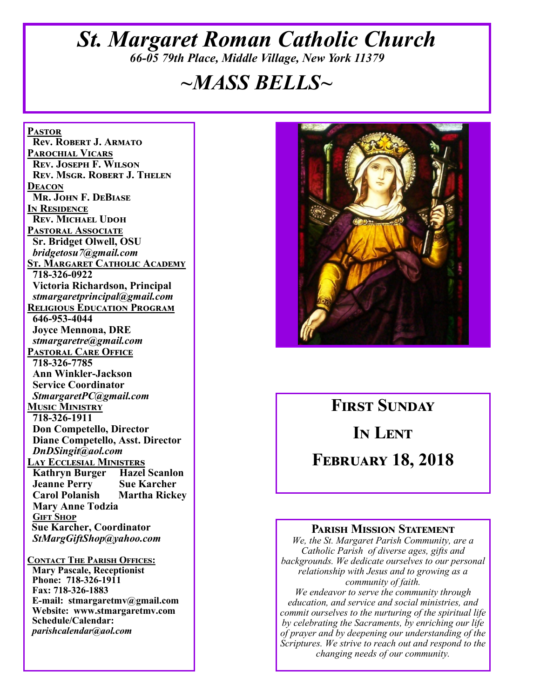# *St. Margaret Roman Catholic Church 66-05 79th Place, Middle Village, New York 11379*

# *~MASS BELLS~*

**Pastor Rev. Robert J. Armato Parochial Vicars Rev. Joseph F. Wilson Rev. Msgr. Robert J. Thelen Deacon Mr. John F. DeBiase In Residence Rev. Michael Udoh Pastoral Associate Sr. Bridget Olwell, OSU**  *bridgetosu7@gmail.com* **St. Margaret Catholic Academy 718-326-0922 Victoria Richardson, Principal**  *stmargaretprincipal@gmail.com* **Religious Education Program 646-953-4044 Joyce Mennona, DRE** *stmargaretre@gmail.com* **Pastoral Care Office 718-326-7785 Ann Winkler-Jackson Service Coordinator** *StmargaretPC@gmail.com* **Music Ministry 718-326-1911 Don Competello, Director Diane Competello, Asst. Director** *DnDSingit@aol.com* **Lay Ecclesial Ministers Kathryn Burger Hazel Scanlon Jeanne Perry Sue Karcher Martha Rickey Mary Anne Todzia Gift Shop Sue Karcher, Coordinator** *StMargGiftShop@yahoo.com*

**Contact The Parish Offices: Mary Pascale, Receptionist Phone: 718-326-1911 Fax: 718-326-1883 E-mail: stmargaretmv@gmail.com Website: www.stmargaretmv.com Schedule/Calendar:** *parishcalendar@aol.com* 



# **First Sunday**

**In Lent** 

**February 18, 2018** 

#### **Parish Mission Statement**

*We, the St. Margaret Parish Community, are a Catholic Parish of diverse ages, gifts and backgrounds. We dedicate ourselves to our personal relationship with Jesus and to growing as a community of faith.*

*We endeavor to serve the community through education, and service and social ministries, and commit ourselves to the nurturing of the spiritual life by celebrating the Sacraments, by enriching our life of prayer and by deepening our understanding of the Scriptures. We strive to reach out and respond to the changing needs of our community.*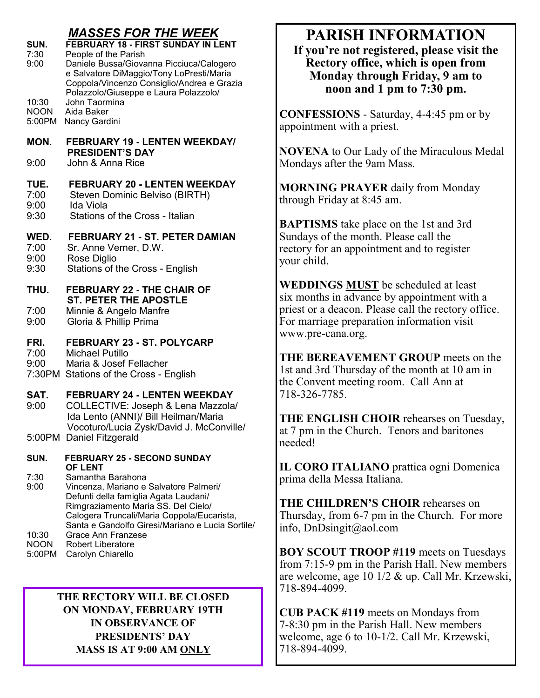### *MASSES FOR THE WEEK*

| SUN.<br>7:30<br>9:00<br>10:30<br><b>NOON</b><br>5:00PM | <b>FEBRUARY 18 - FIRST SUNDAY IN LENT</b><br>People of the Parish<br>Daniele Bussa/Giovanna Picciuca/Calogero<br>e Salvatore DiMaggio/Tony LoPresti/Maria<br>Coppola/Vincenzo Consiglio/Andrea e Grazia<br>Polazzolo/Giuseppe e Laura Polazzolo/<br>John Taormina<br>Aida Baker<br>Nancy Gardini |
|--------------------------------------------------------|--------------------------------------------------------------------------------------------------------------------------------------------------------------------------------------------------------------------------------------------------------------------------------------------------|
| MON.                                                   | <b>FEBRUARY 19 - LENTEN WEEKDAY/</b>                                                                                                                                                                                                                                                             |
| 9:00                                                   | <b>PRESIDENT'S DAY</b><br>John & Anna Rice                                                                                                                                                                                                                                                       |
| TUE.<br>7:00<br>9:00                                   | <b>FEBRUARY 20 - LENTEN WEEKDAY</b><br>Steven Dominic Belviso (BIRTH)<br>Ida Viola                                                                                                                                                                                                               |
| 9:30                                                   | Stations of the Cross - Italian                                                                                                                                                                                                                                                                  |
| WED.<br>7:00<br>9:00                                   | FEBRUARY 21 - ST. PETER DAMIAN<br>Sr. Anne Verner, D.W.<br>Rose Diglio                                                                                                                                                                                                                           |
| 9:30                                                   | Stations of the Cross - English                                                                                                                                                                                                                                                                  |
| THU.                                                   | <b>FEBRUARY 22 - THE CHAIR OF</b><br><b>ST. PETER THE APOSTLE</b>                                                                                                                                                                                                                                |
| 7:00<br>9:00                                           | Minnie & Angelo Manfre<br>Gloria & Phillip Prima                                                                                                                                                                                                                                                 |
| FRI.                                                   | <b>FEBRUARY 23 - ST. POLYCARP</b>                                                                                                                                                                                                                                                                |
| 7:00<br>9:00                                           | <b>Michael Putillo</b><br>Maria & Josef Fellacher<br>7:30PM Stations of the Cross - English                                                                                                                                                                                                      |
| SAT.<br>9:00                                           | <b>FEBRUARY 24 - LENTEN WEEKDAY</b><br>COLLECTIVE: Joseph & Lena Mazzola/<br>Ida Lento (ANNI)/ Bill Heilman/Maria<br>Vocoturo/Lucia Zysk/David J. McConville/                                                                                                                                    |
|                                                        | 5:00PM Daniel Fitzgerald                                                                                                                                                                                                                                                                         |
| SUN.                                                   | <b>FEBRUARY 25 - SECOND SUNDAY</b><br><b>OF LENT</b>                                                                                                                                                                                                                                             |
| 7:30<br>9:00                                           | Samantha Barahona<br>Vincenza, Mariano e Salvatore Palmeri/<br>Defunti della famiglia Agata Laudani/<br>Rimgraziamento Maria SS. Del Cielo/<br>Calogera Truncali/Maria Coppola/Eucarista,<br>Santa e Gandolfo Giresi/Mariano e Lucia Sortile/                                                    |
| 10:30<br><b>NOON</b>                                   | <b>Grace Ann Franzese</b><br><b>Robert Liberatore</b>                                                                                                                                                                                                                                            |

5:00PM Carolyn Chiarello

#### **THE RECTORY WILL BE CLOSED ON MONDAY, FEBRUARY 19TH IN OBSERVANCE OF PRESIDENTS' DAY MASS IS AT 9:00 AM ONLY**

# **PARISH INFORMATION**

**If you're not registered, please visit the Rectory office, which is open from Monday through Friday, 9 am to noon and 1 pm to 7:30 pm.**

**CONFESSIONS** - Saturday, 4-4:45 pm or by appointment with a priest.

**NOVENA** to Our Lady of the Miraculous Medal Mondays after the 9am Mass.

**MORNING PRAYER** daily from Monday through Friday at 8:45 am.

**BAPTISMS** take place on the 1st and 3rd Sundays of the month. Please call the rectory for an appointment and to register your child.

**WEDDINGS MUST** be scheduled at least six months in advance by appointment with a priest or a deacon. Please call the rectory office. For marriage preparation information visit www.pre-cana.org.

**THE BEREAVEMENT GROUP** meets on the 1st and 3rd Thursday of the month at 10 am in the Convent meeting room. Call Ann at 718-326-7785.

**THE ENGLISH CHOIR** rehearses on Tuesday, at 7 pm in the Church. Tenors and baritones needed!

**IL CORO ITALIANO** prattica ogni Domenica prima della Messa Italiana.

**THE CHILDREN'S CHOIR** rehearses on Thursday, from 6-7 pm in the Church. For more info, DnDsingit@aol.com

**BOY SCOUT TROOP #119** meets on Tuesdays from 7:15-9 pm in the Parish Hall. New members are welcome, age 10 1/2 & up. Call Mr. Krzewski, 718-894-4099.

**CUB PACK #119** meets on Mondays from 7-8:30 pm in the Parish Hall. New members welcome, age 6 to 10-1/2. Call Mr. Krzewski, 718-894-4099.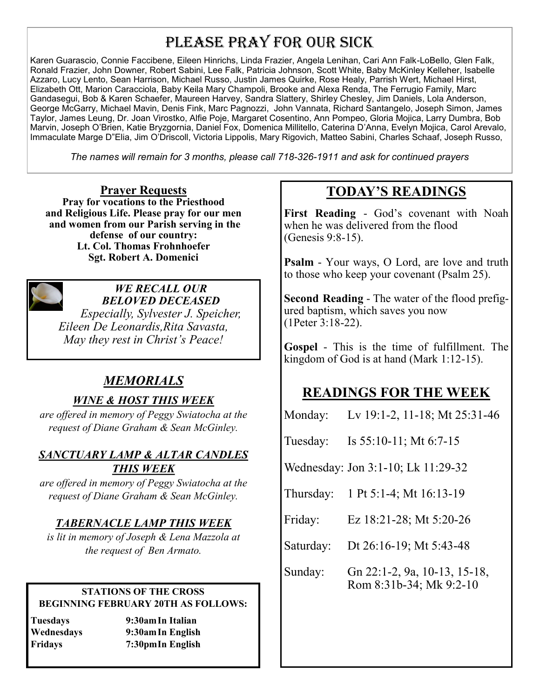# PLEASE PRAY FOR OUR SICK

Karen Guarascio, Connie Faccibene, Eileen Hinrichs, Linda Frazier, Angela Lenihan, Cari Ann Falk-LoBello, Glen Falk, Ronald Frazier, John Downer, Robert Sabini, Lee Falk, Patricia Johnson, Scott White, Baby McKinley Kelleher, Isabelle Azzaro, Lucy Lento, Sean Harrison, Michael Russo, Justin James Quirke, Rose Healy, Parrish Wert, Michael Hirst, Elizabeth Ott, Marion Caracciola, Baby Keila Mary Champoli, Brooke and Alexa Renda, The Ferrugio Family, Marc Gandasegui, Bob & Karen Schaefer, Maureen Harvey, Sandra Slattery, Shirley Chesley, Jim Daniels, Lola Anderson, George McGarry, Michael Mavin, Denis Fink, Marc Pagnozzi, John Vannata, Richard Santangelo, Joseph Simon, James Taylor, James Leung, Dr. Joan Virostko, Alfie Poje, Margaret Cosentino, Ann Pompeo, Gloria Mojica, Larry Dumbra, Bob Marvin, Joseph O'Brien, Katie Bryzgornia, Daniel Fox, Domenica Millitello, Caterina D'Anna, Evelyn Mojica, Carol Arevalo, Immaculate Marge D"Elia, Jim O'Driscoll, Victoria Lippolis, Mary Rigovich, Matteo Sabini, Charles Schaaf, Joseph Russo,

*The names will remain for 3 months, please call 718-326-1911 and ask for continued prayers*

**Prayer Requests Pray for vocations to the Priesthood and Religious Life. Please pray for our men and women from our Parish serving in the defense of our country: Lt. Col. Thomas Frohnhoefer Sgt. Robert A. Domenici** 



*WE RECALL OUR BELOVED DECEASED Especially, Sylvester J. Speicher, Eileen De Leonardis,Rita Savasta, May they rest in Christ's Peace!*

# *MEMORIALS*

### *WINE & HOST THIS WEEK*

*are offered in memory of Peggy Swiatocha at the request of Diane Graham & Sean McGinley.*

### *SANCTUARY LAMP & ALTAR CANDLES THIS WEEK*

*are offered in memory of Peggy Swiatocha at the request of Diane Graham & Sean McGinley.*

### *TABERNACLE LAMP THIS WEEK*

*is lit in memory of Joseph & Lena Mazzola at the request of Ben Armato.*

# **BEGINNING FEBRUARY 20TH AS FOLLOWS:**

**Tuesdays 9:30amIn Italian Wednesdays 9:30amIn English Fridays 7:30pmIn English**

# **TODAY'S READINGS**

**First Reading** - God's covenant with Noah when he was delivered from the flood (Genesis 9:8-15).

**Psalm** - Your ways, O Lord, are love and truth to those who keep your covenant (Psalm 25).

**Second Reading** - The water of the flood prefigured baptism, which saves you now (1Peter 3:18-22).

**Gospel** - This is the time of fulfillment. The kingdom of God is at hand (Mark 1:12-15).

# **READINGS FOR THE WEEK**

Monday: Lv 19:1-2, 11-18; Mt 25:31-46

Tuesday: Is 55:10-11; Mt 6:7-15

Wednesday: Jon 3:1-10; Lk 11:29-32

Thursday: 1 Pt 5:1-4; Mt 16:13-19

Friday: Ez 18:21-28; Mt 5:20-26

Saturday: Dt 26:16-19; Mt 5:43-48

Sunday: Gn 22:1-2, 9a, 10-13, 15-18, **STATIONS OF THE CROSS** Rom 8:31b-34; Mk 9:2-10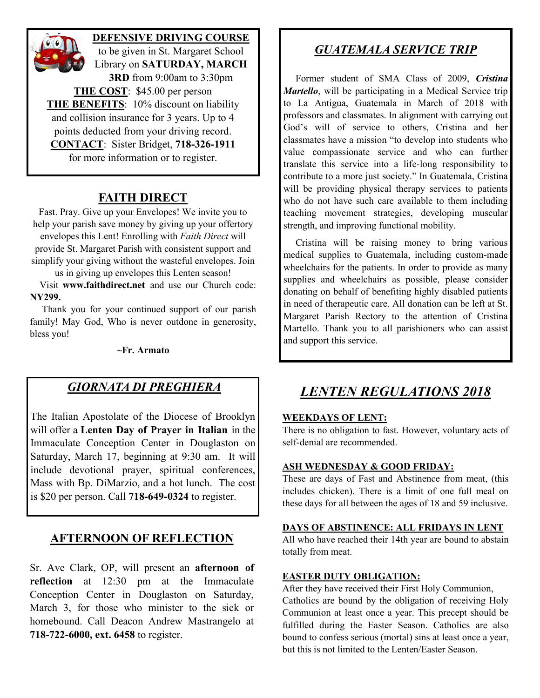**DEFENSIVE DRIVING COURSE** to be given in St. Margaret School Library on **SATURDAY, MARCH 3RD** from 9:00am to 3:30pm **THE COST**: \$45.00 per person **THE BENEFITS**: 10% discount on liability and collision insurance for 3 years. Up to 4 points deducted from your driving record. **CONTACT**: Sister Bridget, **718-326-1911** for more information or to register.

### **FAITH DIRECT**

Fast. Pray. Give up your Envelopes! We invite you to help your parish save money by giving up your offertory envelopes this Lent! Enrolling with *Faith Direct* will provide St. Margaret Parish with consistent support and simplify your giving without the wasteful envelopes. Join

us in giving up envelopes this Lenten season! Visit **www.faithdirect.net** and use our Church code: **NY299.**

 Thank you for your continued support of our parish family! May God, Who is never outdone in generosity, bless you!

**~Fr. Armato**

### *GIORNATA DI PREGHIERA*

The Italian Apostolate of the Diocese of Brooklyn will offer a **Lenten Day of Prayer in Italian** in the Immaculate Conception Center in Douglaston on Saturday, March 17, beginning at 9:30 am. It will include devotional prayer, spiritual conferences, Mass with Bp. DiMarzio, and a hot lunch. The cost is \$20 per person. Call **718-649-0324** to register.

### **AFTERNOON OF REFLECTION**

Sr. Ave Clark, OP, will present an **afternoon of reflection** at 12:30 pm at the Immaculate Conception Center in Douglaston on Saturday, March 3, for those who minister to the sick or homebound. Call Deacon Andrew Mastrangelo at **718-722-6000, ext. 6458** to register.

### *GUATEMALA SERVICE TRIP*

 Former student of SMA Class of 2009, *Cristina Martello*, will be participating in a Medical Service trip to La Antigua, Guatemala in March of 2018 with professors and classmates. In alignment with carrying out God's will of service to others, Cristina and her classmates have a mission "to develop into students who value compassionate service and who can further translate this service into a life-long responsibility to contribute to a more just society." In Guatemala, Cristina will be providing physical therapy services to patients who do not have such care available to them including teaching movement strategies, developing muscular strength, and improving functional mobility.

 Cristina will be raising money to bring various medical supplies to Guatemala, including custom-made wheelchairs for the patients. In order to provide as many supplies and wheelchairs as possible, please consider donating on behalf of benefiting highly disabled patients in need of therapeutic care. All donation can be left at St. Margaret Parish Rectory to the attention of Cristina Martello. Thank you to all parishioners who can assist and support this service.

# *LENTEN REGULATIONS 2018*

#### **WEEKDAYS OF LENT:**

There is no obligation to fast. However, voluntary acts of self-denial are recommended.

#### **ASH WEDNESDAY & GOOD FRIDAY:**

These are days of Fast and Abstinence from meat, (this includes chicken). There is a limit of one full meal on these days for all between the ages of 18 and 59 inclusive.

#### **DAYS OF ABSTINENCE: ALL FRIDAYS IN LENT**

All who have reached their 14th year are bound to abstain totally from meat.

#### **EASTER DUTY OBLIGATION:**

After they have received their First Holy Communion, Catholics are bound by the obligation of receiving Holy Communion at least once a year. This precept should be fulfilled during the Easter Season. Catholics are also bound to confess serious (mortal) sins at least once a year, but this is not limited to the Lenten/Easter Season.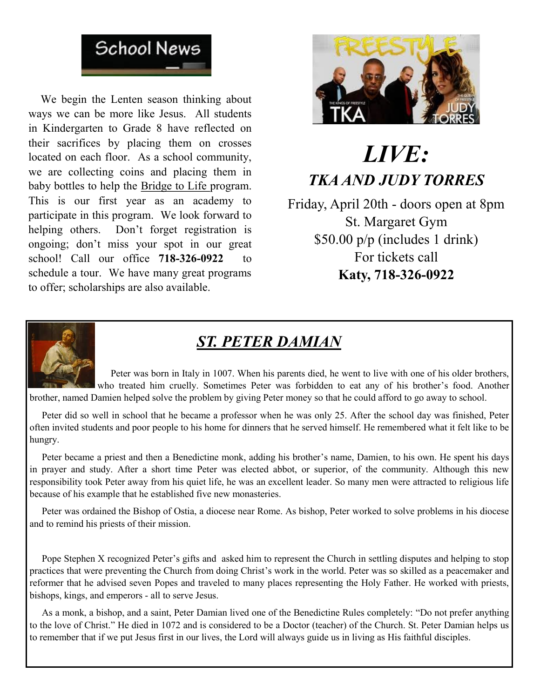

 We begin the Lenten season thinking about ways we can be more like Jesus. All students in Kindergarten to Grade 8 have reflected on their sacrifices by placing them on crosses located on each floor. As a school community, we are collecting coins and placing them in baby bottles to help the Bridge to Life program. This is our first year as an academy to participate in this program. We look forward to helping others. Don't forget registration is ongoing; don't miss your spot in our great school! Call our office **718-326-0922** to schedule a tour. We have many great programs to offer; scholarships are also available.



# *LIVE: TKA AND JUDY TORRES*

Friday, April 20th - doors open at 8pm St. Margaret Gym \$50.00 p/p (includes 1 drink) For tickets call **Katy, 718-326-0922**

![](_page_4_Picture_5.jpeg)

# *ST. PETER DAMIAN*

 Peter was born in Italy in 1007. When his parents died, he went to live with one of his older brothers, who treated him cruelly. Sometimes Peter was forbidden to eat any of his brother's food. Another brother, named Damien helped solve the problem by giving Peter money so that he could afford to go away to school.

 Peter did so well in school that he became a professor when he was only 25. After the school day was finished, Peter often invited students and poor people to his home for dinners that he served himself. He remembered what it felt like to be hungry.

 Peter became a priest and then a Benedictine monk, adding his brother's name, Damien, to his own. He spent his days in prayer and study. After a short time Peter was elected abbot, or superior, of the community. Although this new responsibility took Peter away from his quiet life, he was an excellent leader. So many men were attracted to religious life because of his example that he established five new monasteries.

 Peter was ordained the Bishop of Ostia, a diocese near Rome. As bishop, Peter worked to solve problems in his diocese and to remind his priests of their mission.

 Pope Stephen X recognized Peter's gifts and asked him to represent the Church in settling disputes and helping to stop practices that were preventing the Church from doing Christ's work in the world. Peter was so skilled as a peacemaker and reformer that he advised seven Popes and traveled to many places representing the Holy Father. He worked with priests, bishops, kings, and emperors - all to serve Jesus.

 As a monk, a bishop, and a saint, Peter Damian lived one of the Benedictine Rules completely: "Do not prefer anything to the love of Christ." He died in 1072 and is considered to be a Doctor (teacher) of the Church. St. Peter Damian helps us to remember that if we put Jesus first in our lives, the Lord will always guide us in living as His faithful disciples.